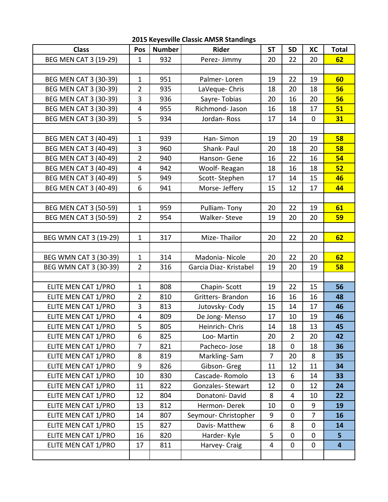| <b>2015 Keyesville Classic AMSR Standings</b> |  |  |  |
|-----------------------------------------------|--|--|--|
|-----------------------------------------------|--|--|--|

| <b>Class</b>                 | Pos            | <b>Number</b> | <b>Rider</b>            | <b>ST</b>      | <b>SD</b>      | XC             | <b>Total</b>            |
|------------------------------|----------------|---------------|-------------------------|----------------|----------------|----------------|-------------------------|
| BEG MEN CAT 3 (19-29)        | $\mathbf{1}$   | 932           | Perez-Jimmy             | 20             | 22             | 20             | 62                      |
|                              |                |               |                         |                |                |                |                         |
| <b>BEG MEN CAT 3 (30-39)</b> | $\mathbf{1}$   | 951           | Palmer-Loren            | 19             | 22             | 19             | 60                      |
| <b>BEG MEN CAT 3 (30-39)</b> | $\overline{2}$ | 935           | LaVeque- Chris          | 18             | 20             | 18             | 56                      |
| BEG MEN CAT 3 (30-39)        | 3              | 936           | Sayre-Tobias            | 20             | 16             | 20             | 56                      |
| <b>BEG MEN CAT 3 (30-39)</b> | $\overline{4}$ | 955           | Richmond- Jason         | 16             | 18             | 17             | 51                      |
| BEG MEN CAT 3 (30-39)        | 5              | 934           | Jordan-Ross             | 17             | 14             | $\overline{0}$ | 31                      |
|                              |                |               |                         |                |                |                |                         |
| <b>BEG MEN CAT 3 (40-49)</b> | $\mathbf{1}$   | 939           | Han-Simon               | 19             | 20             | 19             | 58                      |
| BEG MEN CAT 3 (40-49)        | 3              | 960           | Shank-Paul              | 20             | 18             | 20             | 58                      |
| BEG MEN CAT 3 (40-49)        | $\overline{2}$ | 940           | Hanson-Gene             | 16             | 22             | 16             | 54                      |
| BEG MEN CAT 3 (40-49)        | 4              | 942           | Woolf-Reagan            | 18             | 16             | 18             | 52                      |
| <b>BEG MEN CAT 3 (40-49)</b> | 5              | 949           | Scott-Stephen           | 17             | 14             | 15             | 46                      |
| <b>BEG MEN CAT 3 (40-49)</b> | 6              | 941           | Morse-Jeffery           | 15             | 12             | 17             | 44                      |
|                              |                |               |                         |                |                |                |                         |
| <b>BEG MEN CAT 3 (50-59)</b> | $\mathbf{1}$   | 959           | Pulliam-Tony            | 20             | 22             | 19             | 61                      |
| <b>BEG MEN CAT 3 (50-59)</b> | $\overline{2}$ | 954           | Walker-Steve            | 19             | 20             | 20             | 59                      |
|                              |                |               |                         |                |                |                |                         |
| BEG WMN CAT 3 (19-29)        | $\mathbf{1}$   | 317           | Mize-Thailor            | 20             | 22             | 20             | 62                      |
|                              |                |               |                         |                |                |                |                         |
| BEG WMN CAT 3 (30-39)        | $\mathbf{1}$   | 314           | Madonia-Nicole          | 20             | 22             | 20             | 62                      |
| BEG WMN CAT 3 (30-39)        | $\overline{2}$ | 316           | Garcia Diaz- Kristabel  | 19             | 20             | 19             | 58                      |
|                              |                |               |                         |                |                |                |                         |
| ELITE MEN CAT 1/PRO          | $\mathbf{1}$   | 808           | Chapin-Scott            | 19             | 22             | 15             | 56                      |
| ELITE MEN CAT 1/PRO          | 2              | 810           | Gritters-Brandon        | 16             | 16             | 16             | 48                      |
| ELITE MEN CAT 1/PRO          | 3              | 813           | Jutovsky-Cody           | 15             | 14             | 17             | 46                      |
| ELITE MEN CAT 1/PRO          | 4              | 809           | De Jong-Menso           | 17             | 10             | 19             | 46                      |
| ELITE MEN CAT 1/PRO          | 5              | 805           | Heinrich-Chris          | 14             | 18             | 13             | 45                      |
| ELITE MEN CAT 1/PRO          | 6              | 825           | Loo-Martin              | 20             | $\overline{2}$ | 20             | 42                      |
| ELITE MEN CAT 1/PRO          | 7              | 821           | Pacheco-Jose            | 18             | $\mathbf 0$    | 18             | 36                      |
| ELITE MEN CAT 1/PRO          | 8              | 819           | Markling-Sam            | $\overline{7}$ | 20             | 8              | 35                      |
| ELITE MEN CAT 1/PRO          | 9              | 826           | Gibson-Greg             | 11             | 12             | 11             | 34                      |
| ELITE MEN CAT 1/PRO          | 10             | 830           | Cascade-Romolo          | 13             | 6              | 14             | 33                      |
| ELITE MEN CAT 1/PRO          | 11             | 822           | <b>Gonzales-Stewart</b> | 12             | $\mathbf 0$    | 12             | 24                      |
| ELITE MEN CAT 1/PRO          | 12             | 804           | Donatoni-David          | 8              | 4              | 10             | 22                      |
| ELITE MEN CAT 1/PRO          | 13             | 812           | Hermon-Derek            | 10             | $\mathbf 0$    | 9              | 19                      |
| ELITE MEN CAT 1/PRO          | 14             | 807           | Seymour- Christopher    | $9\,$          | $\mathbf 0$    | $\overline{7}$ | 16                      |
| ELITE MEN CAT 1/PRO          | 15             | 827           | Davis-Matthew           | 6              | 8              | 0              | 14                      |
| ELITE MEN CAT 1/PRO          | 16             | 820           | Harder-Kyle             | 5              | $\mathbf 0$    | $\mathbf 0$    | 5 <sup>1</sup>          |
| ELITE MEN CAT 1/PRO          | 17             | 811           | Harvey- Craig           | 4              | $\mathbf 0$    | $\mathbf 0$    | $\overline{\mathbf{4}}$ |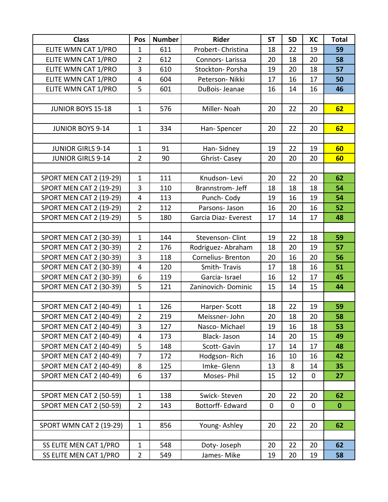| <b>Class</b>                   | Pos            | <b>Number</b> | <b>Rider</b>              | <b>ST</b>      | <b>SD</b>   | XC           | <b>Total</b> |
|--------------------------------|----------------|---------------|---------------------------|----------------|-------------|--------------|--------------|
| ELITE WMN CAT 1/PRO            | $\mathbf{1}$   | 611           | Probert-Christina         | 18             | 22          | 19           | 59           |
| ELITE WMN CAT 1/PRO            | $\overline{2}$ | 612           | Connors-Larissa           | 20             | 18          | 20           | 58           |
| ELITE WMN CAT 1/PRO            | 3              | 610           | Stockton-Porsha           | 19             | 20          | 18           | 57           |
| ELITE WMN CAT 1/PRO            | $\overline{4}$ | 604           | Peterson-Nikki            | 17             | 16          | 17           | 50           |
| ELITE WMN CAT 1/PRO            | 5              | 601           | DuBois-Jeanae             | 16             | 14          | 16           | 46           |
|                                |                |               |                           |                |             |              |              |
| <b>JUNIOR BOYS 15-18</b>       | $\mathbf{1}$   | 576           | Miller-Noah               | 20             | 22          | 20           | 62           |
|                                |                |               |                           |                |             |              |              |
| <b>JUNIOR BOYS 9-14</b>        | $\mathbf{1}$   | 334           | Han-Spencer               | 20             | 22          | 20           | 62           |
|                                |                |               |                           |                |             |              |              |
| <b>JUNIOR GIRLS 9-14</b>       | $\mathbf{1}$   | 91            | Han-Sidney                | 19             | 22          | 19           | 60           |
| <b>JUNIOR GIRLS 9-14</b>       | $\overline{2}$ | 90            | Ghrist-Casey              | 20             | 20          | 20           | 60           |
|                                |                |               |                           |                |             |              |              |
| <b>SPORT MEN CAT 2 (19-29)</b> | $\mathbf{1}$   | 111           | Knudson-Levi              | 20             | 22          | 20           | 62           |
| <b>SPORT MEN CAT 2 (19-29)</b> | 3              | 110           | Brannstrom-Jeff           | 18             | 18          | 18           | 54           |
| <b>SPORT MEN CAT 2 (19-29)</b> | 4              | 113           | Punch-Cody                | 19             | 16          | 19           | 54           |
| <b>SPORT MEN CAT 2 (19-29)</b> | $\overline{2}$ | 112           | Parsons-Jason             | 16             | 20          | 16           | 52           |
| <b>SPORT MEN CAT 2 (19-29)</b> | 5              | 180           | Garcia Diaz- Everest      | 17             | 14          | 17           | 48           |
|                                |                |               |                           |                |             |              |              |
| <b>SPORT MEN CAT 2 (30-39)</b> | $\mathbf{1}$   | 144           | Stevenson-Clint           | 19             | 22          | 18           | 59           |
| <b>SPORT MEN CAT 2 (30-39)</b> | $\overline{2}$ | 176           | Rodriguez-Abraham         | 18             | 20          | 19           | 57           |
| <b>SPORT MEN CAT 2 (30-39)</b> | $\overline{3}$ | 118           | <b>Cornelius- Brenton</b> | 20             | 16          | 20           | 56           |
| SPORT MEN CAT 2 (30-39)        | 4              | 120           | Smith-Travis              | 17             | 18          | 16           | 51           |
| <b>SPORT MEN CAT 2 (30-39)</b> | 6              | 119           | Garcia-Israel             | 16             | 12          | 17           | 45           |
| <b>SPORT MEN CAT 2 (30-39)</b> | 5              | 121           | Zaninovich-Dominic        | 15             | 14          | 15           | 44           |
|                                |                |               |                           |                |             |              |              |
| <b>SPORT MEN CAT 2 (40-49)</b> | $\mathbf{1}$   | 126           | Harper-Scott              | 18             | 22          | 19           | 59           |
| <b>SPORT MEN CAT 2 (40-49)</b> | $\overline{2}$ | 219           | Meissner-John             | 20             | 18          | 20           | 58           |
| <b>SPORT MEN CAT 2 (40-49)</b> | 3              | 127           | Nasco-Michael             | 19             | 16          | 18           | 53           |
| <b>SPORT MEN CAT 2 (40-49)</b> | 4              | 173           | Black-Jason               | 14             | 20          | 15           | 49           |
| <b>SPORT MEN CAT 2 (40-49)</b> | 5              | 148           | Scott-Gavin               | 17             | 14          | 17           | 48           |
| <b>SPORT MEN CAT 2 (40-49)</b> | $\overline{7}$ | 172           | Hodgson-Rich              | 16             | 10          | 16           | 42           |
| <b>SPORT MEN CAT 2 (40-49)</b> | 8              | 125           | Imke-Glenn                | 13             | 8           | 14           | 35           |
| SPORT MEN CAT 2 (40-49)        | 6              | 137           | Moses-Phil                | 15             | 12          | 0            | 27           |
|                                |                |               |                           |                |             |              |              |
| SPORT MEN CAT 2 (50-59)        | $\mathbf{1}$   | 138           | Swick-Steven              | 20             | 22          | 20           | 62           |
| <b>SPORT MEN CAT 2 (50-59)</b> | $\overline{2}$ | 143           | Bottorff-Edward           | $\overline{0}$ | $\mathbf 0$ | $\mathbf{0}$ | $\mathbf{0}$ |
|                                |                |               |                           |                |             |              |              |
| <b>SPORT WMN CAT 2 (19-29)</b> | $\mathbf{1}$   | 856           | Young-Ashley              | 20             | 22          | 20           | 62           |
|                                |                |               |                           |                |             |              |              |
| SS ELITE MEN CAT 1/PRO         | $\mathbf{1}$   | 548           | Doty-Joseph               | 20             | 22          | 20           | 62           |
| SS ELITE MEN CAT 1/PRO         | $\overline{2}$ | 549           | James-Mike                | 19             | 20          | 19           | 58           |